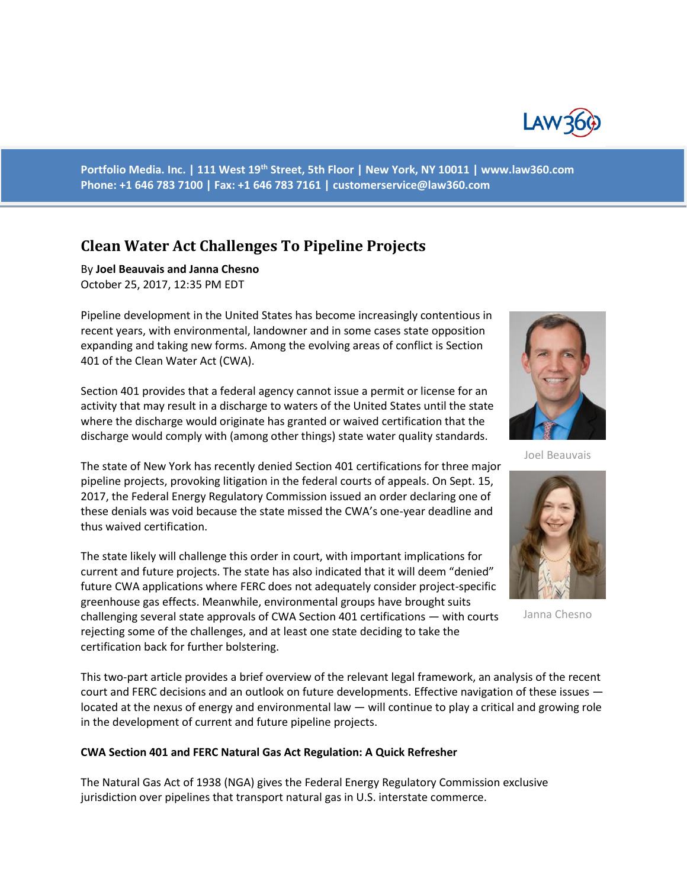

**Portfolio Media. Inc. | 111 West 19th Street, 5th Floor | New York, NY 10011 | www.law360.com Phone: +1 646 783 7100 | Fax: +1 646 783 7161 | [customerservice@law360.com](mailto:customerservice@law360.com)**

# **Clean Water Act Challenges To Pipeline Projects**

By **Joel Beauvais and Janna Chesno**  October 25, 2017, 12:35 PM EDT

Pipeline development in the United States has become increasingly contentious in recent years, with environmental, landowner and in some cases state opposition expanding and taking new forms. Among the evolving areas of conflict is Section 401 of the Clean Water Act (CWA).

Section 401 provides that a federal agency cannot issue a permit or license for an activity that may result in a discharge to waters of the United States until the state where the discharge would originate has granted or waived certification that the discharge would comply with (among other things) state water quality standards.

The state of New York has recently denied Section 401 certifications for three major pipeline projects, provoking litigation in the federal courts of appeals. On Sept. 15, 2017, the Federal Energy Regulatory Commission issued an order declaring one of these denials was void because the state missed the CWA's one-year deadline and thus waived certification.

The state likely will challenge this order in court, with important implications for current and future projects. The state has also indicated that it will deem "denied" future CWA applications where FERC does not adequately consider project-specific greenhouse gas effects. Meanwhile, environmental groups have brought suits challenging several state approvals of CWA Section 401 certifications — with courts rejecting some of the challenges, and at least one state deciding to take the certification back for further bolstering.

This two-part article provides a brief overview of the relevant legal framework, an analysis of the recent court and FERC decisions and an outlook on future developments. Effective navigation of these issues located at the nexus of energy and environmental law — will continue to play a critical and growing role in the development of current and future pipeline projects.

#### **CWA Section 401 and FERC Natural Gas Act Regulation: A Quick Refresher**

The Natural Gas Act of 1938 (NGA) gives the Federal Energy Regulatory Commission exclusive jurisdiction over pipelines that transport natural gas in U.S. interstate commerce.



Joel Beauvais



Janna Chesno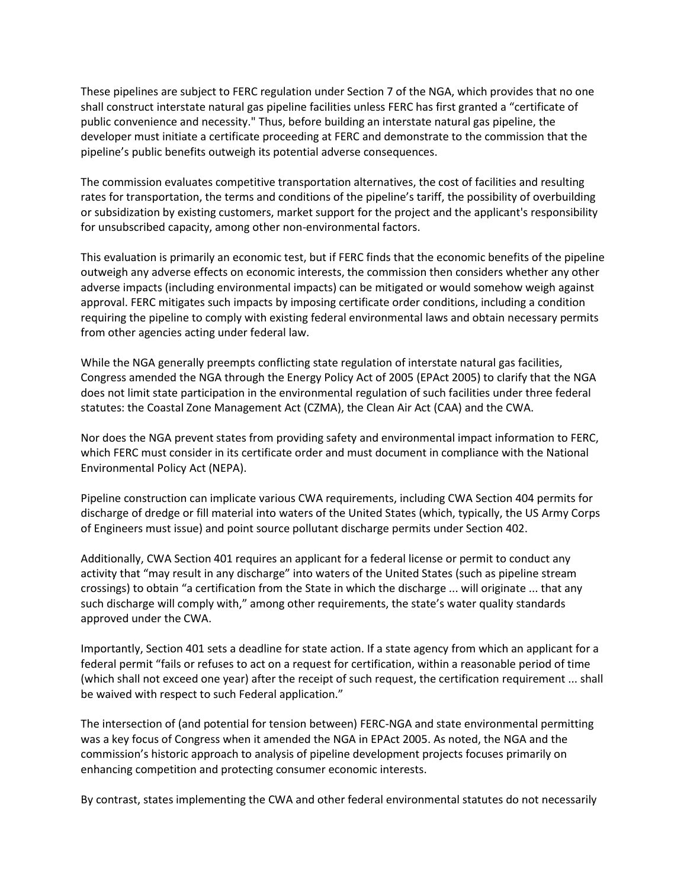These pipelines are subject to FERC regulation under Section 7 of the NGA, which provides that no one shall construct interstate natural gas pipeline facilities unless FERC has first granted a "certificate of public convenience and necessity." Thus, before building an interstate natural gas pipeline, the developer must initiate a certificate proceeding at FERC and demonstrate to the commission that the pipeline's public benefits outweigh its potential adverse consequences.

The commission evaluates competitive transportation alternatives, the cost of facilities and resulting rates for transportation, the terms and conditions of the pipeline's tariff, the possibility of overbuilding or subsidization by existing customers, market support for the project and the applicant's responsibility for unsubscribed capacity, among other non-environmental factors.

This evaluation is primarily an economic test, but if FERC finds that the economic benefits of the pipeline outweigh any adverse effects on economic interests, the commission then considers whether any other adverse impacts (including environmental impacts) can be mitigated or would somehow weigh against approval. FERC mitigates such impacts by imposing certificate order conditions, including a condition requiring the pipeline to comply with existing federal environmental laws and obtain necessary permits from other agencies acting under federal law.

While the NGA generally preempts conflicting state regulation of interstate natural gas facilities, Congress amended the NGA through the Energy Policy Act of 2005 (EPAct 2005) to clarify that the NGA does not limit state participation in the environmental regulation of such facilities under three federal statutes: the Coastal Zone Management Act (CZMA), the Clean Air Act (CAA) and the CWA.

Nor does the NGA prevent states from providing safety and environmental impact information to FERC, which FERC must consider in its certificate order and must document in compliance with the National Environmental Policy Act (NEPA).

Pipeline construction can implicate various CWA requirements, including CWA Section 404 permits for discharge of dredge or fill material into waters of the United States (which, typically, the US Army Corps of Engineers must issue) and point source pollutant discharge permits under Section 402.

Additionally, CWA Section 401 requires an applicant for a federal license or permit to conduct any activity that "may result in any discharge" into waters of the United States (such as pipeline stream crossings) to obtain "a certification from the State in which the discharge ... will originate ... that any such discharge will comply with," among other requirements, the state's water quality standards approved under the CWA.

Importantly, Section 401 sets a deadline for state action. If a state agency from which an applicant for a federal permit "fails or refuses to act on a request for certification, within a reasonable period of time (which shall not exceed one year) after the receipt of such request, the certification requirement ... shall be waived with respect to such Federal application."

The intersection of (and potential for tension between) FERC-NGA and state environmental permitting was a key focus of Congress when it amended the NGA in EPAct 2005. As noted, the NGA and the commission's historic approach to analysis of pipeline development projects focuses primarily on enhancing competition and protecting consumer economic interests.

By contrast, states implementing the CWA and other federal environmental statutes do not necessarily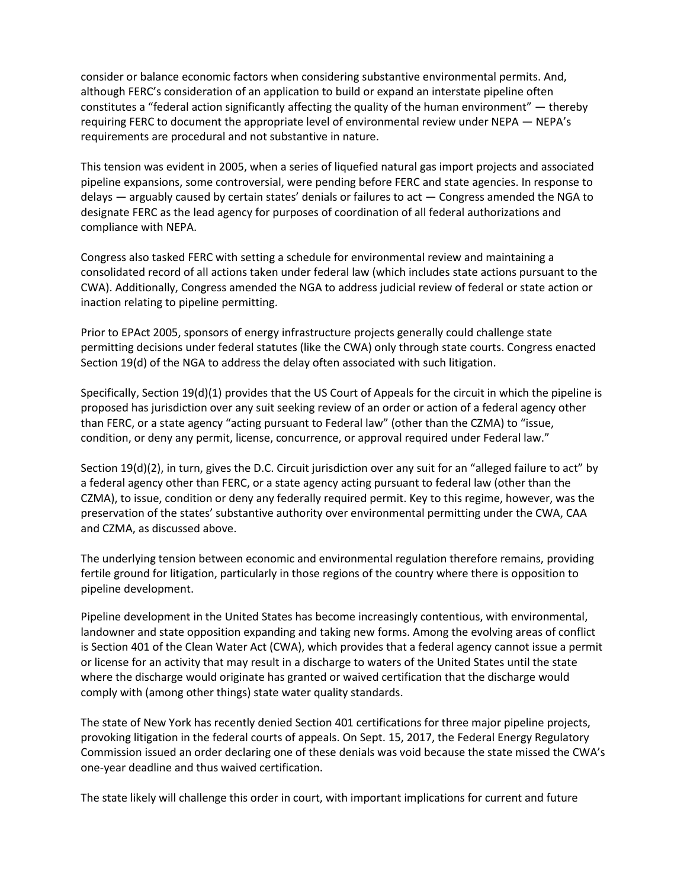consider or balance economic factors when considering substantive environmental permits. And, although FERC's consideration of an application to build or expand an interstate pipeline often constitutes a "federal action significantly affecting the quality of the human environment" — thereby requiring FERC to document the appropriate level of environmental review under NEPA — NEPA's requirements are procedural and not substantive in nature.

This tension was evident in 2005, when a series of liquefied natural gas import projects and associated pipeline expansions, some controversial, were pending before FERC and state agencies. In response to delays — arguably caused by certain states' denials or failures to act — Congress amended the NGA to designate FERC as the lead agency for purposes of coordination of all federal authorizations and compliance with NEPA.

Congress also tasked FERC with setting a schedule for environmental review and maintaining a consolidated record of all actions taken under federal law (which includes state actions pursuant to the CWA). Additionally, Congress amended the NGA to address judicial review of federal or state action or inaction relating to pipeline permitting.

Prior to EPAct 2005, sponsors of energy infrastructure projects generally could challenge state permitting decisions under federal statutes (like the CWA) only through state courts. Congress enacted Section 19(d) of the NGA to address the delay often associated with such litigation.

Specifically, Section 19(d)(1) provides that the US Court of Appeals for the circuit in which the pipeline is proposed has jurisdiction over any suit seeking review of an order or action of a federal agency other than FERC, or a state agency "acting pursuant to Federal law" (other than the CZMA) to "issue, condition, or deny any permit, license, concurrence, or approval required under Federal law."

Section 19(d)(2), in turn, gives the D.C. Circuit jurisdiction over any suit for an "alleged failure to act" by a federal agency other than FERC, or a state agency acting pursuant to federal law (other than the CZMA), to issue, condition or deny any federally required permit. Key to this regime, however, was the preservation of the states' substantive authority over environmental permitting under the CWA, CAA and CZMA, as discussed above.

The underlying tension between economic and environmental regulation therefore remains, providing fertile ground for litigation, particularly in those regions of the country where there is opposition to pipeline development.

Pipeline development in the United States has become increasingly contentious, with environmental, landowner and state opposition expanding and taking new forms. Among the evolving areas of conflict is Section 401 of the Clean Water Act (CWA), which provides that a federal agency cannot issue a permit or license for an activity that may result in a discharge to waters of the United States until the state where the discharge would originate has granted or waived certification that the discharge would comply with (among other things) state water quality standards.

The state of New York has recently denied Section 401 certifications for three major pipeline projects, provoking litigation in the federal courts of appeals. On Sept. 15, 2017, the Federal Energy Regulatory Commission issued an order declaring one of these denials was void because the state missed the CWA's one-year deadline and thus waived certification.

The state likely will challenge this order in court, with important implications for current and future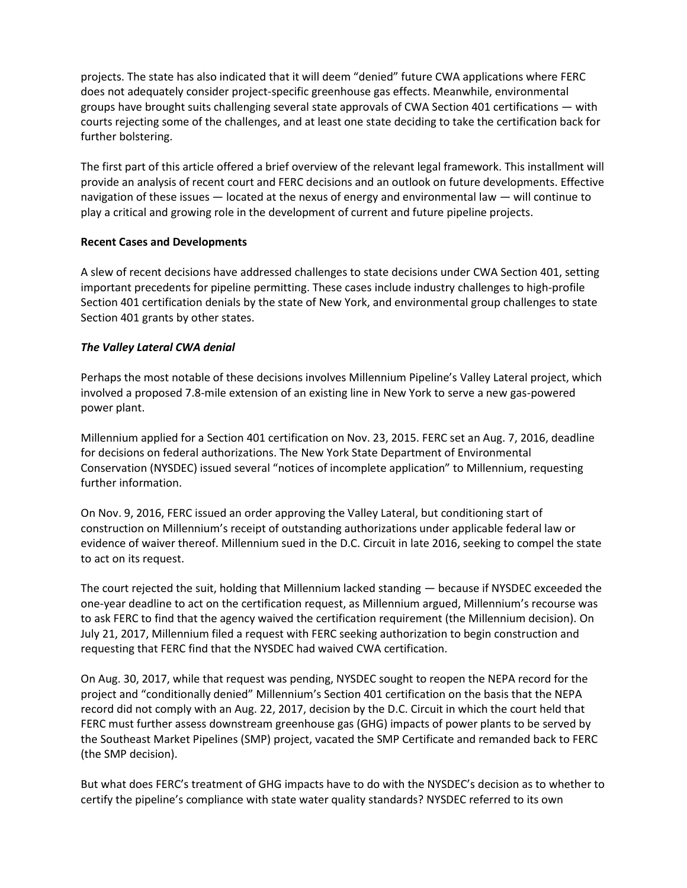projects. The state has also indicated that it will deem "denied" future CWA applications where FERC does not adequately consider project-specific greenhouse gas effects. Meanwhile, environmental groups have brought suits challenging several state approvals of CWA Section 401 certifications — with courts rejecting some of the challenges, and at least one state deciding to take the certification back for further bolstering.

The first part of this article offered a brief overview of the relevant legal framework. This installment will provide an analysis of recent court and FERC decisions and an outlook on future developments. Effective navigation of these issues — located at the nexus of energy and environmental law — will continue to play a critical and growing role in the development of current and future pipeline projects.

## **Recent Cases and Developments**

A slew of recent decisions have addressed challenges to state decisions under CWA Section 401, setting important precedents for pipeline permitting. These cases include industry challenges to high-profile Section 401 certification denials by the state of New York, and environmental group challenges to state Section 401 grants by other states.

#### *The Valley Lateral CWA denial*

Perhaps the most notable of these decisions involves Millennium Pipeline's Valley Lateral project, which involved a proposed 7.8-mile extension of an existing line in New York to serve a new gas-powered power plant.

Millennium applied for a Section 401 certification on Nov. 23, 2015. FERC set an Aug. 7, 2016, deadline for decisions on federal authorizations. The New York State Department of Environmental Conservation (NYSDEC) issued several "notices of incomplete application" to Millennium, requesting further information.

On Nov. 9, 2016, FERC issued an order approving the Valley Lateral, but conditioning start of construction on Millennium's receipt of outstanding authorizations under applicable federal law or evidence of waiver thereof. Millennium sued in the D.C. Circuit in late 2016, seeking to compel the state to act on its request.

The court rejected the suit, holding that Millennium lacked standing — because if NYSDEC exceeded the one-year deadline to act on the certification request, as Millennium argued, Millennium's recourse was to ask FERC to find that the agency waived the certification requirement (the Millennium decision). On July 21, 2017, Millennium filed a request with FERC seeking authorization to begin construction and requesting that FERC find that the NYSDEC had waived CWA certification.

On Aug. 30, 2017, while that request was pending, NYSDEC sought to reopen the NEPA record for the project and "conditionally denied" Millennium's Section 401 certification on the basis that the NEPA record did not comply with an Aug. 22, 2017, decision by the D.C. Circuit in which the court held that FERC must further assess downstream greenhouse gas (GHG) impacts of power plants to be served by the Southeast Market Pipelines (SMP) project, vacated the SMP Certificate and remanded back to FERC (the SMP decision).

But what does FERC's treatment of GHG impacts have to do with the NYSDEC's decision as to whether to certify the pipeline's compliance with state water quality standards? NYSDEC referred to its own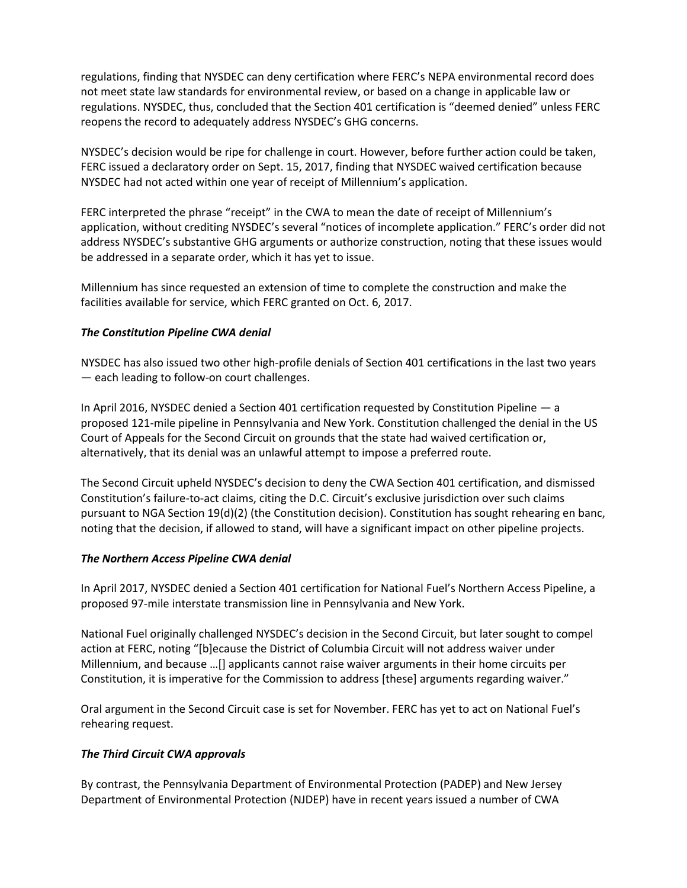regulations, finding that NYSDEC can deny certification where FERC's NEPA environmental record does not meet state law standards for environmental review, or based on a change in applicable law or regulations. NYSDEC, thus, concluded that the Section 401 certification is "deemed denied" unless FERC reopens the record to adequately address NYSDEC's GHG concerns.

NYSDEC's decision would be ripe for challenge in court. However, before further action could be taken, FERC issued a declaratory order on Sept. 15, 2017, finding that NYSDEC waived certification because NYSDEC had not acted within one year of receipt of Millennium's application.

FERC interpreted the phrase "receipt" in the CWA to mean the date of receipt of Millennium's application, without crediting NYSDEC's several "notices of incomplete application." FERC's order did not address NYSDEC's substantive GHG arguments or authorize construction, noting that these issues would be addressed in a separate order, which it has yet to issue.

Millennium has since requested an extension of time to complete the construction and make the facilities available for service, which FERC granted on Oct. 6, 2017.

# *The Constitution Pipeline CWA denial*

NYSDEC has also issued two other high-profile denials of Section 401 certifications in the last two years — each leading to follow-on court challenges.

In April 2016, NYSDEC denied a Section 401 certification requested by Constitution Pipeline — a proposed 121-mile pipeline in Pennsylvania and New York. Constitution challenged the denial in the US Court of Appeals for the Second Circuit on grounds that the state had waived certification or, alternatively, that its denial was an unlawful attempt to impose a preferred route.

The Second Circuit upheld NYSDEC's decision to deny the CWA Section 401 certification, and dismissed Constitution's failure-to-act claims, citing the D.C. Circuit's exclusive jurisdiction over such claims pursuant to NGA Section 19(d)(2) (the Constitution decision). Constitution has sought rehearing en banc, noting that the decision, if allowed to stand, will have a significant impact on other pipeline projects.

## *The Northern Access Pipeline CWA denial*

In April 2017, NYSDEC denied a Section 401 certification for National Fuel's Northern Access Pipeline, a proposed 97-mile interstate transmission line in Pennsylvania and New York.

National Fuel originally challenged NYSDEC's decision in the Second Circuit, but later sought to compel action at FERC, noting "[b]ecause the District of Columbia Circuit will not address waiver under Millennium, and because …[] applicants cannot raise waiver arguments in their home circuits per Constitution, it is imperative for the Commission to address [these] arguments regarding waiver."

Oral argument in the Second Circuit case is set for November. FERC has yet to act on National Fuel's rehearing request.

# *The Third Circuit CWA approvals*

By contrast, the Pennsylvania Department of Environmental Protection (PADEP) and New Jersey Department of Environmental Protection (NJDEP) have in recent years issued a number of CWA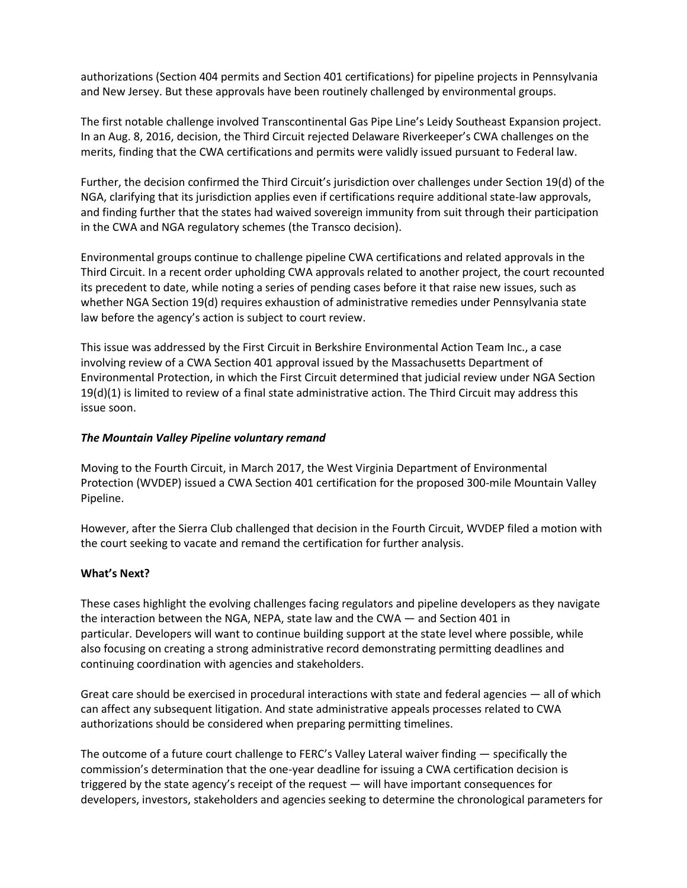authorizations (Section 404 permits and Section 401 certifications) for pipeline projects in Pennsylvania and New Jersey. But these approvals have been routinely challenged by environmental groups.

The first notable challenge involved Transcontinental Gas Pipe Line's Leidy Southeast Expansion project. In an Aug. 8, 2016, decision, the Third Circuit rejected Delaware Riverkeeper's CWA challenges on the merits, finding that the CWA certifications and permits were validly issued pursuant to Federal law.

Further, the decision confirmed the Third Circuit's jurisdiction over challenges under Section 19(d) of the NGA, clarifying that its jurisdiction applies even if certifications require additional state-law approvals, and finding further that the states had waived sovereign immunity from suit through their participation in the CWA and NGA regulatory schemes (the Transco decision).

Environmental groups continue to challenge pipeline CWA certifications and related approvals in the Third Circuit. In a recent order upholding CWA approvals related to another project, the court recounted its precedent to date, while noting a series of pending cases before it that raise new issues, such as whether NGA Section 19(d) requires exhaustion of administrative remedies under Pennsylvania state law before the agency's action is subject to court review.

This issue was addressed by the First Circuit in Berkshire Environmental Action Team Inc., a case involving review of a CWA Section 401 approval issued by the Massachusetts Department of Environmental Protection, in which the First Circuit determined that judicial review under NGA Section  $19(d)(1)$  is limited to review of a final state administrative action. The Third Circuit may address this issue soon.

# *The Mountain Valley Pipeline voluntary remand*

Moving to the Fourth Circuit, in March 2017, the West Virginia Department of Environmental Protection (WVDEP) issued a CWA Section 401 certification for the proposed 300-mile Mountain Valley Pipeline.

However, after the Sierra Club challenged that decision in the Fourth Circuit, WVDEP filed a motion with the court seeking to vacate and remand the certification for further analysis.

## **What's Next?**

These cases highlight the evolving challenges facing regulators and pipeline developers as they navigate the interaction between the NGA, NEPA, state law and the CWA — and Section 401 in particular. Developers will want to continue building support at the state level where possible, while also focusing on creating a strong administrative record demonstrating permitting deadlines and continuing coordination with agencies and stakeholders.

Great care should be exercised in procedural interactions with state and federal agencies — all of which can affect any subsequent litigation. And state administrative appeals processes related to CWA authorizations should be considered when preparing permitting timelines.

The outcome of a future court challenge to FERC's Valley Lateral waiver finding — specifically the commission's determination that the one-year deadline for issuing a CWA certification decision is triggered by the state agency's receipt of the request — will have important consequences for developers, investors, stakeholders and agencies seeking to determine the chronological parameters for